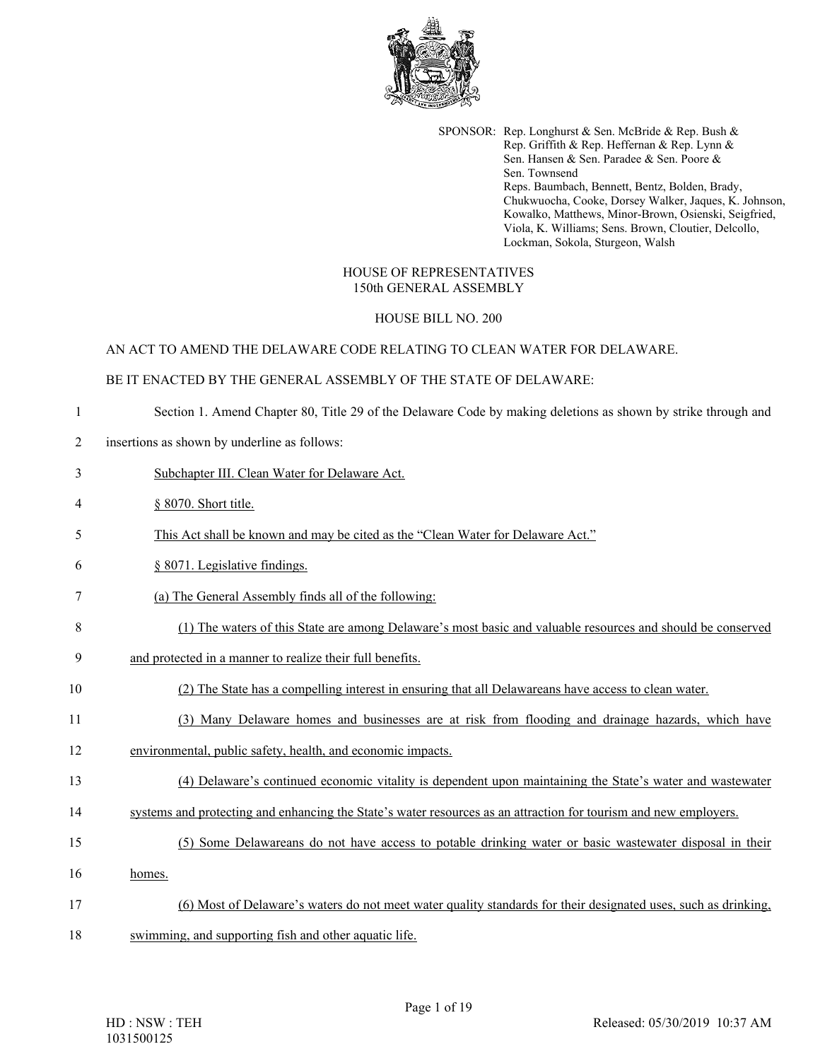

SPONSOR: Rep. Longhurst & Sen. McBride & Rep. Bush & Rep. Griffith & Rep. Heffernan & Rep. Lynn & Sen. Hansen & Sen. Paradee & Sen. Poore & Sen. Townsend Reps. Baumbach, Bennett, Bentz, Bolden, Brady, Chukwuocha, Cooke, Dorsey Walker, Jaques, K. Johnson, Kowalko, Matthews, Minor-Brown, Osienski, Seigfried, Viola, K. Williams; Sens. Brown, Cloutier, Delcollo, Lockman, Sokola, Sturgeon, Walsh

## HOUSE OF REPRESENTATIVES 150th GENERAL ASSEMBLY

## HOUSE BILL NO. 200

### AN ACT TO AMEND THE DELAWARE CODE RELATING TO CLEAN WATER FOR DELAWARE.

### BE IT ENACTED BY THE GENERAL ASSEMBLY OF THE STATE OF DELAWARE:

- 1 Section 1. Amend Chapter 80, Title 29 of the Delaware Code by making deletions as shown by strike through and
- 2 insertions as shown by underline as follows:
- 3 Subchapter III. Clean Water for Delaware Act.
- 4 § 8070. Short title.
- 5 This Act shall be known and may be cited as the "Clean Water for Delaware Act."
- 6 § 8071. Legislative findings.
- 7 (a) The General Assembly finds all of the following:
- 8 (1) The waters of this State are among Delaware's most basic and valuable resources and should be conserved
- 9 and protected in a manner to realize their full benefits.
- 10 (2) The State has a compelling interest in ensuring that all Delawareans have access to clean water.
- 11 (3) Many Delaware homes and businesses are at risk from flooding and drainage hazards, which have
- 12 environmental, public safety, health, and economic impacts.
- 13 (4) Delaware's continued economic vitality is dependent upon maintaining the State's water and wastewater
- 14 systems and protecting and enhancing the State's water resources as an attraction for tourism and new employers.
- 15 (5) Some Delawareans do not have access to potable drinking water or basic wastewater disposal in their
- 16 homes.
- 17 (6) Most of Delaware's waters do not meet water quality standards for their designated uses, such as drinking,
- 18 swimming, and supporting fish and other aquatic life.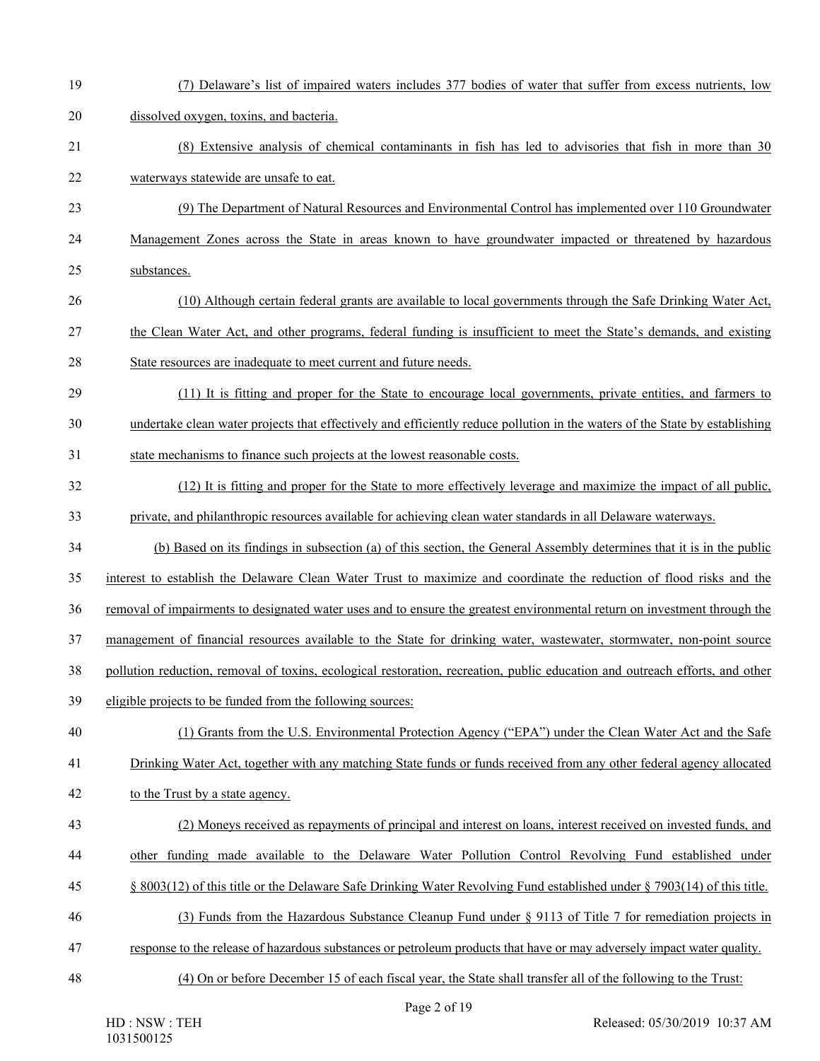19 (7) Delaware's list of impaired waters includes 377 bodies of water that suffer from excess nutrients, low 20 dissolved oxygen, toxins, and bacteria. 21 (8) Extensive analysis of chemical contaminants in fish has led to advisories that fish in more than 30 22 waterways statewide are unsafe to eat. 23 (9) The Department of Natural Resources and Environmental Control has implemented over 110 Groundwater 24 Management Zones across the State in areas known to have groundwater impacted or threatened by hazardous 25 substances. 26 (10) Although certain federal grants are available to local governments through the Safe Drinking Water Act, 27 the Clean Water Act, and other programs, federal funding is insufficient to meet the State's demands, and existing 28 State resources are inadequate to meet current and future needs. 29 (11) It is fitting and proper for the State to encourage local governments, private entities, and farmers to 30 undertake clean water projects that effectively and efficiently reduce pollution in the waters of the State by establishing 31 state mechanisms to finance such projects at the lowest reasonable costs. 32 (12) It is fitting and proper for the State to more effectively leverage and maximize the impact of all public, 33 private, and philanthropic resources available for achieving clean water standards in all Delaware waterways. 34 (b) Based on its findings in subsection (a) of this section, the General Assembly determines that it is in the public 35 interest to establish the Delaware Clean Water Trust to maximize and coordinate the reduction of flood risks and the 36 removal of impairments to designated water uses and to ensure the greatest environmental return on investment through the 37 management of financial resources available to the State for drinking water, wastewater, stormwater, non-point source 38 pollution reduction, removal of toxins, ecological restoration, recreation, public education and outreach efforts, and other 39 eligible projects to be funded from the following sources: 40 (1) Grants from the U.S. Environmental Protection Agency ("EPA") under the Clean Water Act and the Safe 41 Drinking Water Act, together with any matching State funds or funds received from any other federal agency allocated 42 to the Trust by a state agency. 43 (2) Moneys received as repayments of principal and interest on loans, interest received on invested funds, and 44 other funding made available to the Delaware Water Pollution Control Revolving Fund established under 45 § 8003(12) of this title or the Delaware Safe Drinking Water Revolving Fund established under § 7903(14) of this title. 46 (3) Funds from the Hazardous Substance Cleanup Fund under § 9113 of Title 7 for remediation projects in 47 response to the release of hazardous substances or petroleum products that have or may adversely impact water quality. 48 (4) On or before December 15 of each fiscal year, the State shall transfer all of the following to the Trust: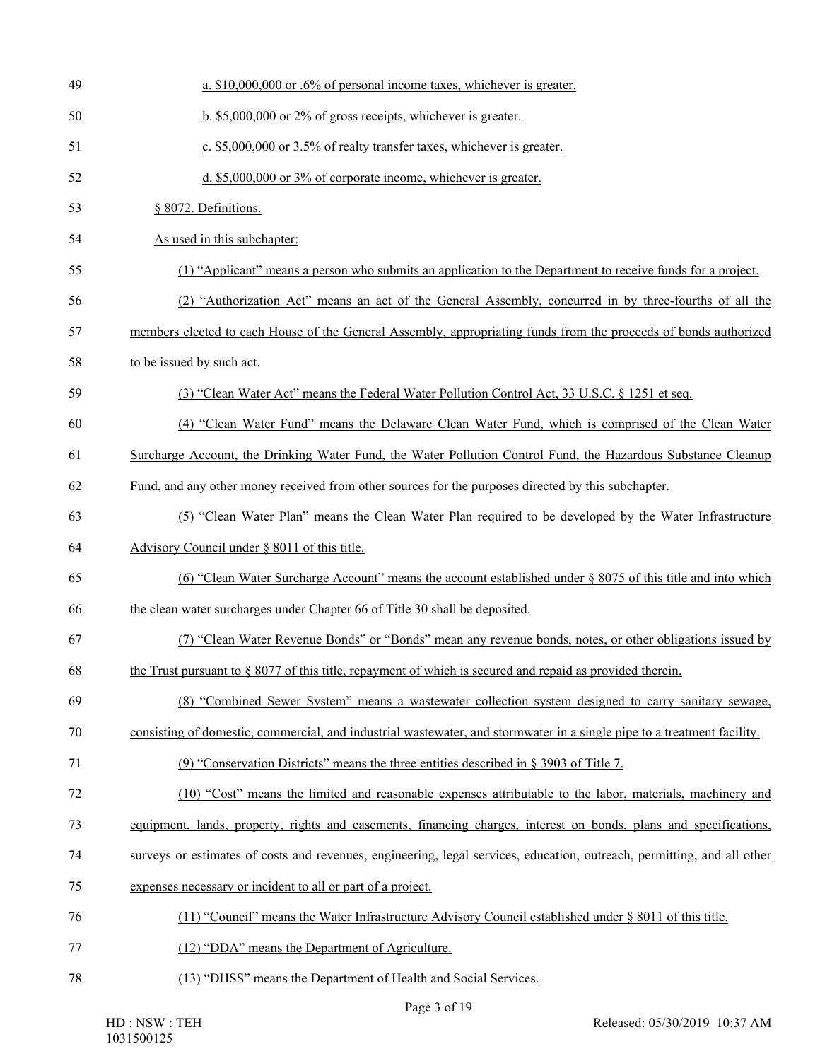| 49 | a. \$10,000,000 or .6% of personal income taxes, whichever is greater.                                                  |
|----|-------------------------------------------------------------------------------------------------------------------------|
| 50 | $\underline{b}$ . \$5,000,000 or 2% of gross receipts, whichever is greater.                                            |
| 51 | c. \$5,000,000 or 3.5% of realty transfer taxes, whichever is greater.                                                  |
| 52 | d. \$5,000,000 or 3% of corporate income, whichever is greater.                                                         |
| 53 | § 8072. Definitions.                                                                                                    |
| 54 | As used in this subchapter:                                                                                             |
| 55 | (1) "Applicant" means a person who submits an application to the Department to receive funds for a project.             |
| 56 | (2) "Authorization Act" means an act of the General Assembly, concurred in by three-fourths of all the                  |
| 57 | members elected to each House of the General Assembly, appropriating funds from the proceeds of bonds authorized        |
| 58 | to be issued by such act.                                                                                               |
| 59 | (3) "Clean Water Act" means the Federal Water Pollution Control Act, 33 U.S.C. § 1251 et seq.                           |
| 60 | (4) "Clean Water Fund" means the Delaware Clean Water Fund, which is comprised of the Clean Water                       |
| 61 | Surcharge Account, the Drinking Water Fund, the Water Pollution Control Fund, the Hazardous Substance Cleanup           |
| 62 | Fund, and any other money received from other sources for the purposes directed by this subchapter.                     |
| 63 | (5) "Clean Water Plan" means the Clean Water Plan required to be developed by the Water Infrastructure                  |
|    |                                                                                                                         |
| 64 | Advisory Council under § 8011 of this title.                                                                            |
| 65 | (6) "Clean Water Surcharge Account" means the account established under § 8075 of this title and into which             |
| 66 | the clean water surcharges under Chapter 66 of Title 30 shall be deposited.                                             |
| 67 | (7) "Clean Water Revenue Bonds" or "Bonds" mean any revenue bonds, notes, or other obligations issued by                |
| 68 | the Trust pursuant to § 8077 of this title, repayment of which is secured and repaid as provided therein.               |
| 69 | (8) "Combined Sewer System" means a wastewater collection system designed to carry sanitary sewage,                     |
| 70 | consisting of domestic, commercial, and industrial wastewater, and stormwater in a single pipe to a treatment facility. |
| 71 | (9) "Conservation Districts" means the three entities described in $\S 3903$ of Title 7.                                |
| 72 | (10) "Cost" means the limited and reasonable expenses attributable to the labor, materials, machinery and               |
| 73 | equipment, lands, property, rights and easements, financing charges, interest on bonds, plans and specifications,       |
| 74 | surveys or estimates of costs and revenues, engineering, legal services, education, outreach, permitting, and all other |
| 75 | expenses necessary or incident to all or part of a project.                                                             |
| 76 | (11) "Council" means the Water Infrastructure Advisory Council established under $\S 8011$ of this title.               |
| 77 | (12) "DDA" means the Department of Agriculture.                                                                         |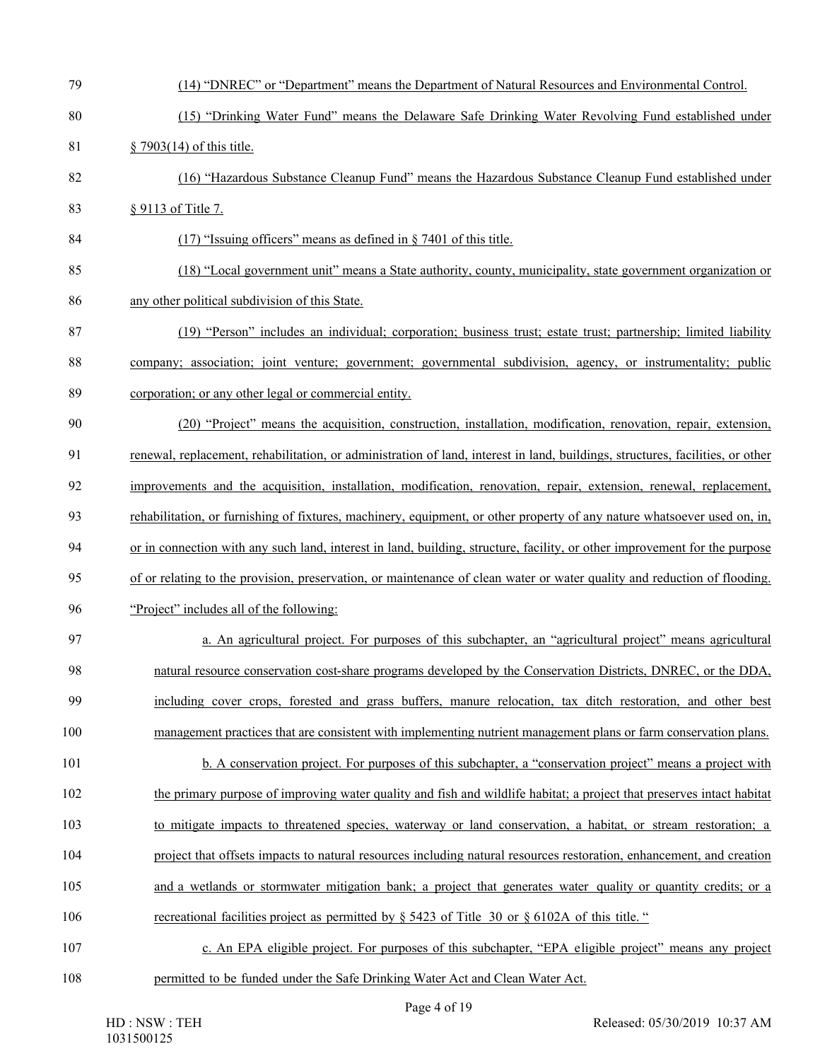| 79  | (14) "DNREC" or "Department" means the Department of Natural Resources and Environmental Control.                              |
|-----|--------------------------------------------------------------------------------------------------------------------------------|
| 80  | (15) "Drinking Water Fund" means the Delaware Safe Drinking Water Revolving Fund established under                             |
| 81  | § 7903(14) of this title.                                                                                                      |
| 82  | (16) "Hazardous Substance Cleanup Fund" means the Hazardous Substance Cleanup Fund established under                           |
| 83  | § 9113 of Title 7.                                                                                                             |
| 84  | $(17)$ "Issuing officers" means as defined in § 7401 of this title.                                                            |
| 85  | (18) "Local government unit" means a State authority, county, municipality, state government organization or                   |
| 86  | any other political subdivision of this State.                                                                                 |
| 87  | (19) "Person" includes an individual; corporation; business trust; estate trust; partnership; limited liability                |
| 88  | company; association; joint venture; government; governmental subdivision, agency, or instrumentality; public                  |
| 89  | corporation; or any other legal or commercial entity.                                                                          |
| 90  | (20) "Project" means the acquisition, construction, installation, modification, renovation, repair, extension,                 |
| 91  | renewal, replacement, rehabilitation, or administration of land, interest in land, buildings, structures, facilities, or other |
| 92  | improvements and the acquisition, installation, modification, renovation, repair, extension, renewal, replacement,             |
| 93  | rehabilitation, or furnishing of fixtures, machinery, equipment, or other property of any nature whatsoever used on, in,       |
| 94  | or in connection with any such land, interest in land, building, structure, facility, or other improvement for the purpose     |
| 95  | of or relating to the provision, preservation, or maintenance of clean water or water quality and reduction of flooding.       |
| 96  | "Project" includes all of the following:                                                                                       |
| 97  | a. An agricultural project. For purposes of this subchapter, an "agricultural project" means agricultural                      |
| 98  | natural resource conservation cost-share programs developed by the Conservation Districts, DNREC, or the DDA,                  |
| 99  | including cover crops, forested and grass buffers, manure relocation, tax ditch restoration, and other best                    |
| 100 | management practices that are consistent with implementing nutrient management plans or farm conservation plans.               |
| 101 | b. A conservation project. For purposes of this subchapter, a "conservation project" means a project with                      |
| 102 | the primary purpose of improving water quality and fish and wildlife habitat; a project that preserves intact habitat          |
| 103 | to mitigate impacts to threatened species, waterway or land conservation, a habitat, or stream restoration; a                  |
| 104 | project that offsets impacts to natural resources including natural resources restoration, enhancement, and creation           |
| 105 | and a wetlands or stormwater mitigation bank; a project that generates water quality or quantity credits; or a                 |
| 106 | recreational facilities project as permitted by $\S$ 5423 of Title 30 or $\S$ 6102A of this title."                            |
| 107 | c. An EPA eligible project. For purposes of this subchapter, "EPA eligible project" means any project                          |
| 108 | permitted to be funded under the Safe Drinking Water Act and Clean Water Act.                                                  |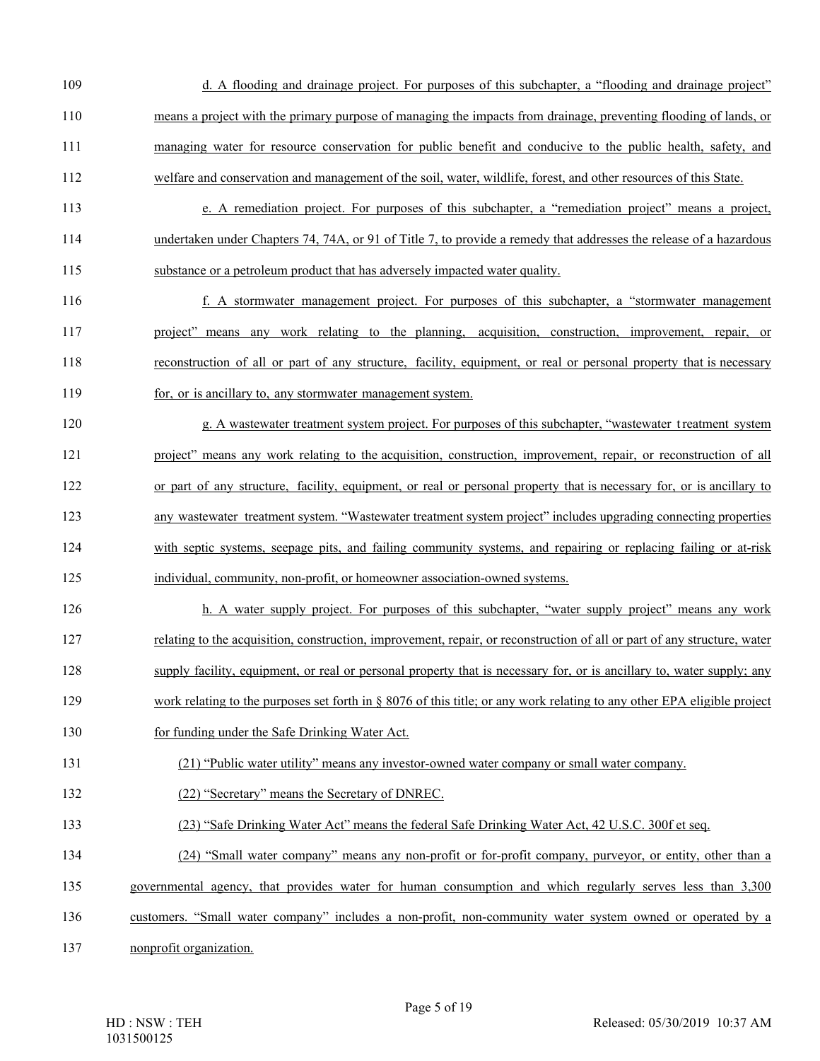- 109 d. A flooding and drainage project. For purposes of this subchapter, a "flooding and drainage project" 110 means a project with the primary purpose of managing the impacts from drainage, preventing flooding of lands, or 111 managing water for resource conservation for public benefit and conducive to the public health, safety, and 112 welfare and conservation and management of the soil, water, wildlife, forest, and other resources of this State.
- 113 e. A remediation project. For purposes of this subchapter, a "remediation project" means a project, 114 undertaken under Chapters 74, 74A, or 91 of Title 7, to provide a remedy that addresses the release of a hazardous 115 substance or a petroleum product that has adversely impacted water quality.
- 116 f. A stormwater management project. For purposes of this subchapter, a "stormwater management 117 project" means any work relating to the planning, acquisition, construction, improvement, repair, or 118 reconstruction of all or part of any structure, facility, equipment, or real or personal property that is necessary 119 for, or is ancillary to, any stormwater management system.
- 120 g. A wastewater treatment system project. For purposes of this subchapter, "wastewater t reatment system 121 project" means any work relating to the acquisition, construction, improvement, repair, or reconstruction of all 122 or part of any structure, facility, equipment, or real or personal property that is necessary for, or is ancillary to 123 any wastewater treatment system. "Wastewater treatment system project" includes upgrading connecting properties 124 with septic systems, seepage pits, and failing community systems, and repairing or replacing failing or at-risk 125 individual, community, non-profit, or homeowner association-owned systems.
- 126 h. A water supply project. For purposes of this subchapter, "water supply project" means any work 127 relating to the acquisition, construction, improvement, repair, or reconstruction of all or part of any structure, water 128 supply facility, equipment, or real or personal property that is necessary for, or is ancillary to, water supply; any
- 129 work relating to the purposes set forth in § 8076 of this title; or any work relating to any other EPA eligible project
- 130 for funding under the Safe Drinking Water Act.
- 131 (21) "Public water utility" means any investor-owned water company or small water company.
- 132 (22) "Secretary" means the Secretary of DNREC.
- 133 (23) "Safe Drinking Water Act" means the federal Safe Drinking Water Act, 42 U.S.C. 300f et seq.
- 134 (24) "Small water company" means any non-profit or for-profit company, purveyor, or entity, other than a
- 135 governmental agency, that provides water for human consumption and which regularly serves less than 3,300
- 136 customers. "Small water company" includes a non-profit, non-community water system owned or operated by a
- 137 nonprofit organization.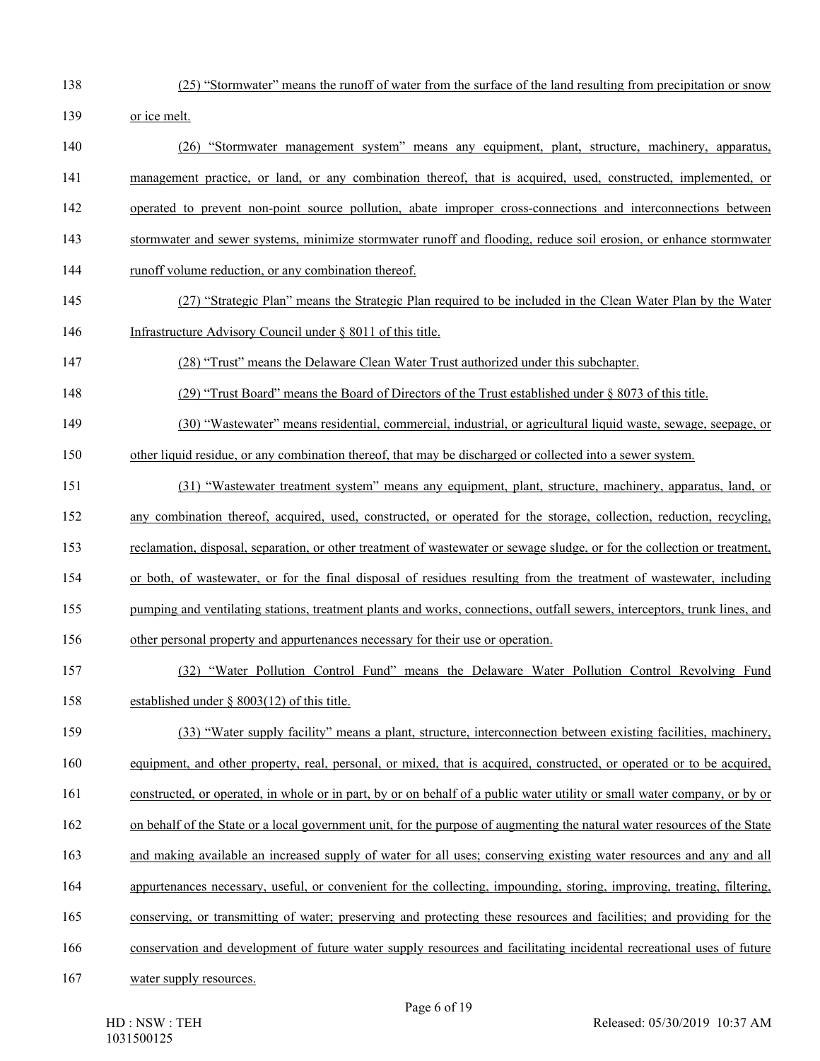- 
- 138 (25) "Stormwater" means the runoff of water from the surface of the land resulting from precipitation or snow
- 139 or ice melt.
- 140 (26) "Stormwater management system" means any equipment, plant, structure, machinery, apparatus, 141 management practice, or land, or any combination thereof, that is acquired, used, constructed, implemented, or 142 operated to prevent non-point source pollution, abate improper cross-connections and interconnections between 143 stormwater and sewer systems, minimize stormwater runoff and flooding, reduce soil erosion, or enhance stormwater
- 144 runoff volume reduction, or any combination thereof.
- 145 (27) "Strategic Plan" means the Strategic Plan required to be included in the Clean Water Plan by the Water 146 Infrastructure Advisory Council under § 8011 of this title.
- 147 (28) "Trust" means the Delaware Clean Water Trust authorized under this subchapter.
- 148 (29) "Trust Board" means the Board of Directors of the Trust established under § 8073 of this title.
- 149 (30) "Wastewater" means residential, commercial, industrial, or agricultural liquid waste, sewage, seepage, or
- 150 other liquid residue, or any combination thereof, that may be discharged or collected into a sewer system.
- 151 (31) "Wastewater treatment system" means any equipment, plant, structure, machinery, apparatus, land, or 152 any combination thereof, acquired, used, constructed, or operated for the storage, collection, reduction, recycling, 153 reclamation, disposal, separation, or other treatment of wastewater or sewage sludge, or for the collection or treatment, 154 or both, of wastewater, or for the final disposal of residues resulting from the treatment of wastewater, including
- 155 pumping and ventilating stations, treatment plants and works, connections, outfall sewers, interceptors, trunk lines, and
- 156 other personal property and appurtenances necessary for their use or operation.
- 157 (32) "Water Pollution Control Fund" means the Delaware Water Pollution Control Revolving Fund 158 established under § 8003(12) of this title.
- 159 (33) "Water supply facility" means a plant, structure, interconnection between existing facilities, machinery,
- 160 equipment, and other property, real, personal, or mixed, that is acquired, constructed, or operated or to be acquired,
- 161 constructed, or operated, in whole or in part, by or on behalf of a public water utility or small water company, or by or
- 162 on behalf of the State or a local government unit, for the purpose of augmenting the natural water resources of the State
- 163 and making available an increased supply of water for all uses; conserving existing water resources and any and all
- 164 appurtenances necessary, useful, or convenient for the collecting, impounding, storing, improving, treating, filtering,
- 165 conserving, or transmitting of water; preserving and protecting these resources and facilities; and providing for the
- 166 conservation and development of future water supply resources and facilitating incidental recreational uses of future
- 167 water supply resources.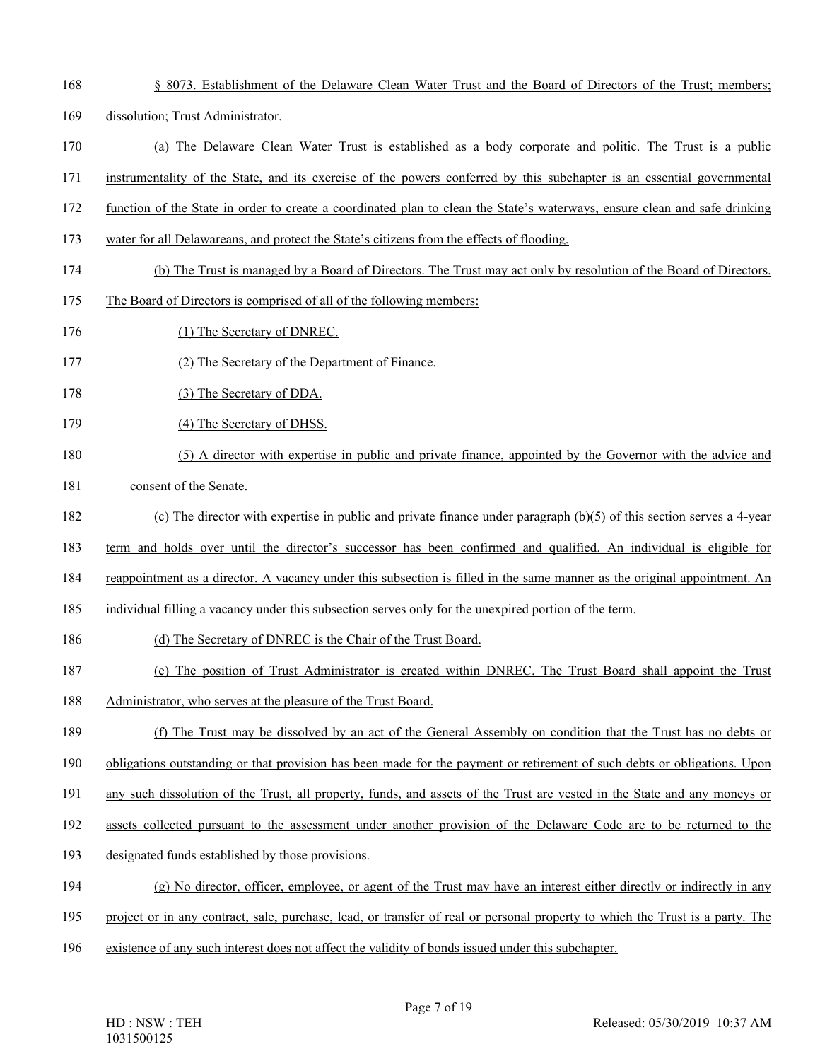168 § 8073. Establishment of the Delaware Clean Water Trust and the Board of Directors of the Trust; members; 169 dissolution; Trust Administrator. 170 (a) The Delaware Clean Water Trust is established as a body corporate and politic. The Trust is a public 171 instrumentality of the State, and its exercise of the powers conferred by this subchapter is an essential governmental 172 function of the State in order to create a coordinated plan to clean the State's waterways, ensure clean and safe drinking 173 water for all Delawareans, and protect the State's citizens from the effects of flooding. 174 (b) The Trust is managed by a Board of Directors. The Trust may act only by resolution of the Board of Directors. 175 The Board of Directors is comprised of all of the following members: 176 (1) The Secretary of DNREC. 177 (2) The Secretary of the Department of Finance. 178 (3) The Secretary of DDA. 179 (4) The Secretary of DHSS. 180 (5) A director with expertise in public and private finance, appointed by the Governor with the advice and 181 consent of the Senate. 182 (c) The director with expertise in public and private finance under paragraph (b)(5) of this section serves a 4-year 183 term and holds over until the director's successor has been confirmed and qualified. An individual is eligible for 184 reappointment as a director. A vacancy under this subsection is filled in the same manner as the original appointment. An 185 individual filling a vacancy under this subsection serves only for the unexpired portion of the term. 186 (d) The Secretary of DNREC is the Chair of the Trust Board. 187 (e) The position of Trust Administrator is created within DNREC. The Trust Board shall appoint the Trust 188 Administrator, who serves at the pleasure of the Trust Board. 189 (f) The Trust may be dissolved by an act of the General Assembly on condition that the Trust has no debts or 190 obligations outstanding or that provision has been made for the payment or retirement of such debts or obligations. Upon 191 any such dissolution of the Trust, all property, funds, and assets of the Trust are vested in the State and any moneys or 192 assets collected pursuant to the assessment under another provision of the Delaware Code are to be returned to the 193 designated funds established by those provisions. 194 (g) No director, officer, employee, or agent of the Trust may have an interest either directly or indirectly in any 195 project or in any contract, sale, purchase, lead, or transfer of real or personal property to which the Trust is a party. The 196 existence of any such interest does not affect the validity of bonds issued under this subchapter.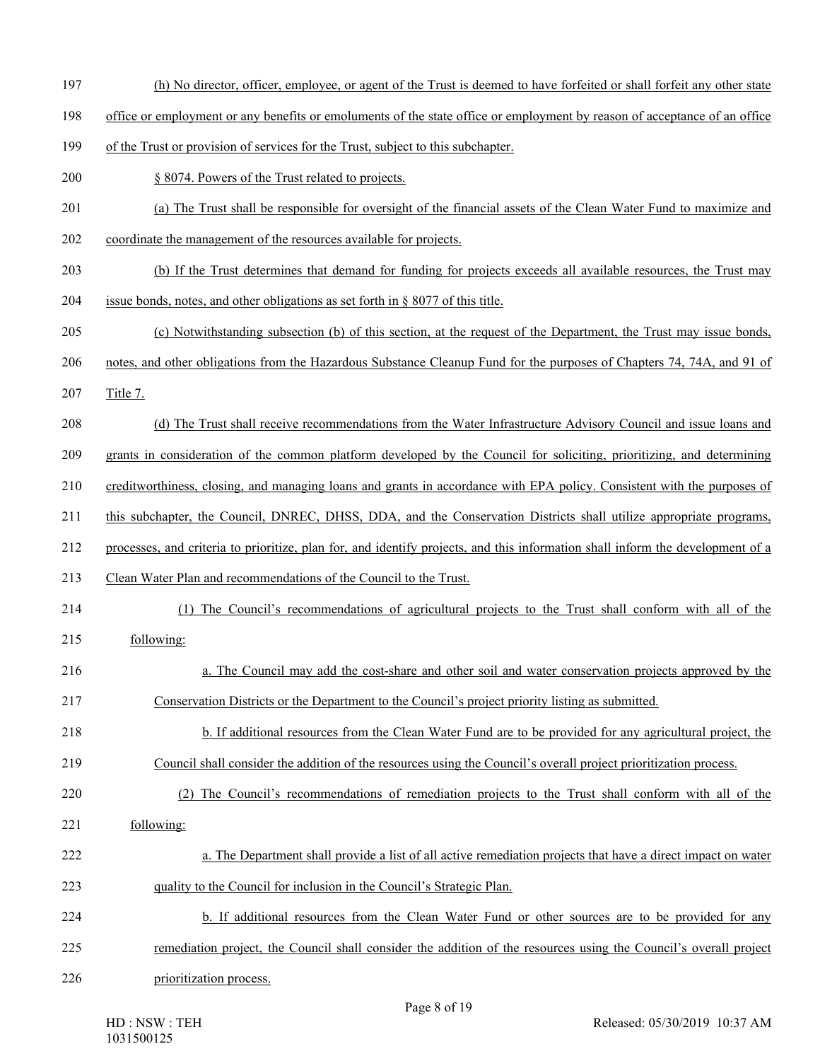- 197 (h) No director, officer, employee, or agent of the Trust is deemed to have forfeited or shall forfeit any other state
- 198 office or employment or any benefits or emoluments of the state office or employment by reason of acceptance of an office
- 199 of the Trust or provision of services for the Trust, subject to this subchapter.
- 200 § 8074. Powers of the Trust related to projects.
- 201 (a) The Trust shall be responsible for oversight of the financial assets of the Clean Water Fund to maximize and
- 202 coordinate the management of the resources available for projects.
- 203 (b) If the Trust determines that demand for funding for projects exceeds all available resources, the Trust may
- 204 issue bonds, notes, and other obligations as set forth in § 8077 of this title.
- 205 (c) Notwithstanding subsection (b) of this section, at the request of the Department, the Trust may issue bonds,
- 206 notes, and other obligations from the Hazardous Substance Cleanup Fund for the purposes of Chapters 74, 74A, and 91 of
- 207 Title 7.
- 208 (d) The Trust shall receive recommendations from the Water Infrastructure Advisory Council and issue loans and
- 209 grants in consideration of the common platform developed by the Council for soliciting, prioritizing, and determining
- 210 creditworthiness, closing, and managing loans and grants in accordance with EPA policy. Consistent with the purposes of
- 211 this subchapter, the Council, DNREC, DHSS, DDA, and the Conservation Districts shall utilize appropriate programs,
- 212 processes, and criteria to prioritize, plan for, and identify projects, and this information shall inform the development of a
- 213 Clean Water Plan and recommendations of the Council to the Trust.
- 214 (1) The Council's recommendations of agricultural projects to the Trust shall conform with all of the
- 215 following:
- 216 a. The Council may add the cost-share and other soil and water conservation projects approved by the 217 Conservation Districts or the Department to the Council's project priority listing as submitted.
- 218 b. If additional resources from the Clean Water Fund are to be provided for any agricultural project, the
- 219 Council shall consider the addition of the resources using the Council's overall project prioritization process.
- 220 (2) The Council's recommendations of remediation projects to the Trust shall conform with all of the
- 221 following:
- 222 a. The Department shall provide a list of all active remediation projects that have a direct impact on water 223 quality to the Council for inclusion in the Council's Strategic Plan.
- 224 b. If additional resources from the Clean Water Fund or other sources are to be provided for any
- 225 remediation project, the Council shall consider the addition of the resources using the Council's overall project
- 226 prioritization process.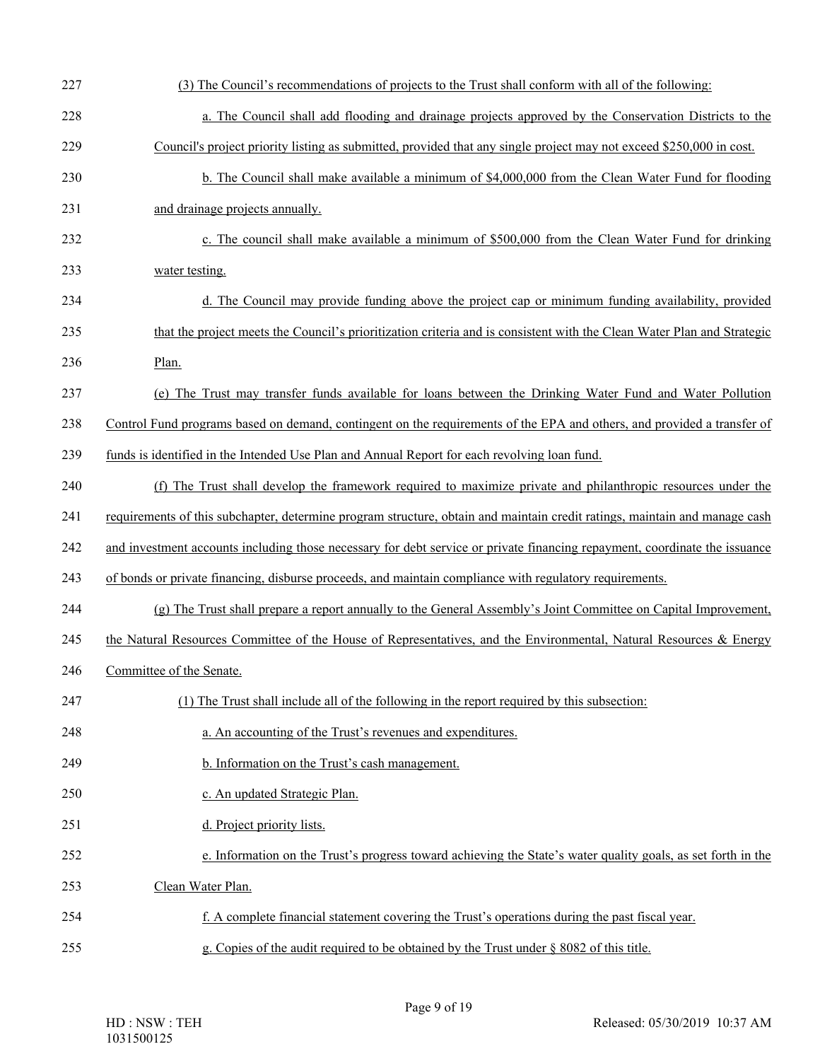| 227 | (3) The Council's recommendations of projects to the Trust shall conform with all of the following:                        |
|-----|----------------------------------------------------------------------------------------------------------------------------|
| 228 |                                                                                                                            |
|     | a. The Council shall add flooding and drainage projects approved by the Conservation Districts to the                      |
| 229 | Council's project priority listing as submitted, provided that any single project may not exceed \$250,000 in cost.        |
| 230 | b. The Council shall make available a minimum of \$4,000,000 from the Clean Water Fund for flooding                        |
| 231 | and drainage projects annually.                                                                                            |
| 232 | c. The council shall make available a minimum of \$500,000 from the Clean Water Fund for drinking                          |
| 233 | water testing.                                                                                                             |
| 234 | d. The Council may provide funding above the project cap or minimum funding availability, provided                         |
| 235 | that the project meets the Council's prioritization criteria and is consistent with the Clean Water Plan and Strategic     |
| 236 | Plan.                                                                                                                      |
| 237 | (e) The Trust may transfer funds available for loans between the Drinking Water Fund and Water Pollution                   |
| 238 | Control Fund programs based on demand, contingent on the requirements of the EPA and others, and provided a transfer of    |
| 239 | funds is identified in the Intended Use Plan and Annual Report for each revolving loan fund.                               |
| 240 | (f) The Trust shall develop the framework required to maximize private and philanthropic resources under the               |
| 241 | requirements of this subchapter, determine program structure, obtain and maintain credit ratings, maintain and manage cash |
| 242 | and investment accounts including those necessary for debt service or private financing repayment, coordinate the issuance |
| 243 | of bonds or private financing, disburse proceeds, and maintain compliance with regulatory requirements.                    |
| 244 | (g) The Trust shall prepare a report annually to the General Assembly's Joint Committee on Capital Improvement,            |
| 245 | the Natural Resources Committee of the House of Representatives, and the Environmental, Natural Resources & Energy         |
| 246 | Committee of the Senate.                                                                                                   |
| 247 | (1) The Trust shall include all of the following in the report required by this subsection:                                |
| 248 | a. An accounting of the Trust's revenues and expenditures.                                                                 |
| 249 | b. Information on the Trust's cash management.                                                                             |
| 250 | c. An updated Strategic Plan.                                                                                              |
| 251 | d. Project priority lists.                                                                                                 |
| 252 | e. Information on the Trust's progress toward achieving the State's water quality goals, as set forth in the               |
| 253 | Clean Water Plan.                                                                                                          |
| 254 | f. A complete financial statement covering the Trust's operations during the past fiscal year.                             |
| 255 | g. Copies of the audit required to be obtained by the Trust under $\S$ 8082 of this title.                                 |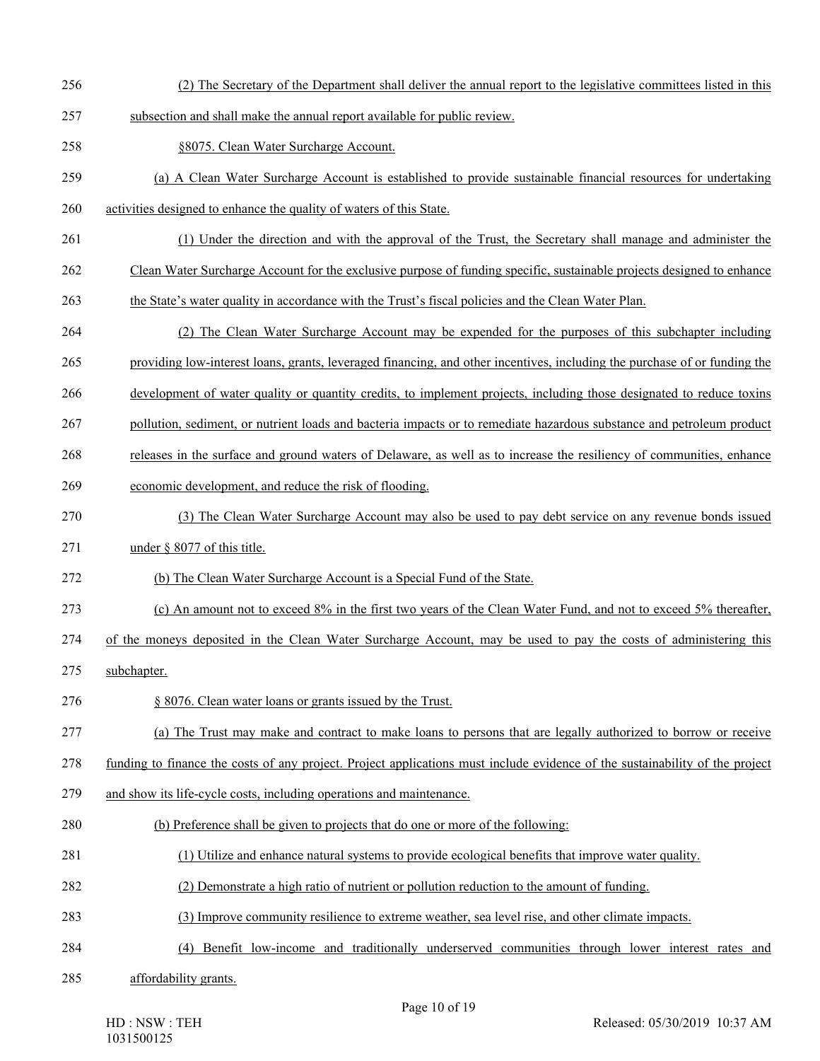- 256 (2) The Secretary of the Department shall deliver the annual report to the legislative committees listed in this
- 257 subsection and shall make the annual report available for public review.
- 258 §8075. Clean Water Surcharge Account.
- 259 (a) A Clean Water Surcharge Account is established to provide sustainable financial resources for undertaking
- 260 activities designed to enhance the quality of waters of this State.
- 261 (1) Under the direction and with the approval of the Trust, the Secretary shall manage and administer the
- 262 Clean Water Surcharge Account for the exclusive purpose of funding specific, sustainable projects designed to enhance
- 263 the State's water quality in accordance with the Trust's fiscal policies and the Clean Water Plan.
- 264 (2) The Clean Water Surcharge Account may be expended for the purposes of this subchapter including
- 265 providing low-interest loans, grants, leveraged financing, and other incentives, including the purchase of or funding the
- 266 development of water quality or quantity credits, to implement projects, including those designated to reduce toxins
- 267 pollution, sediment, or nutrient loads and bacteria impacts or to remediate hazardous substance and petroleum product
- 268 releases in the surface and ground waters of Delaware, as well as to increase the resiliency of communities, enhance
- 269 economic development, and reduce the risk of flooding.
- 270 (3) The Clean Water Surcharge Account may also be used to pay debt service on any revenue bonds issued
- 271 under § 8077 of this title.
- 272 (b) The Clean Water Surcharge Account is a Special Fund of the State.
- 273 (c) An amount not to exceed 8% in the first two years of the Clean Water Fund, and not to exceed 5% thereafter,
- 274 of the moneys deposited in the Clean Water Surcharge Account, may be used to pay the costs of administering this
- 275 subchapter.
- 276 § 8076. Clean water loans or grants issued by the Trust.
- 277 (a) The Trust may make and contract to make loans to persons that are legally authorized to borrow or receive

278 funding to finance the costs of any project. Project applications must include evidence of the sustainability of the project

- 279 and show its life-cycle costs, including operations and maintenance.
- 280 (b) Preference shall be given to projects that do one or more of the following:
- 281 (1) Utilize and enhance natural systems to provide ecological benefits that improve water quality.
- 282 (2) Demonstrate a high ratio of nutrient or pollution reduction to the amount of funding.
- 283 (3) Improve community resilience to extreme weather, sea level rise, and other climate impacts.
- 284 (4) Benefit low-income and traditionally underserved communities through lower interest rates and
- 285 affordability grants.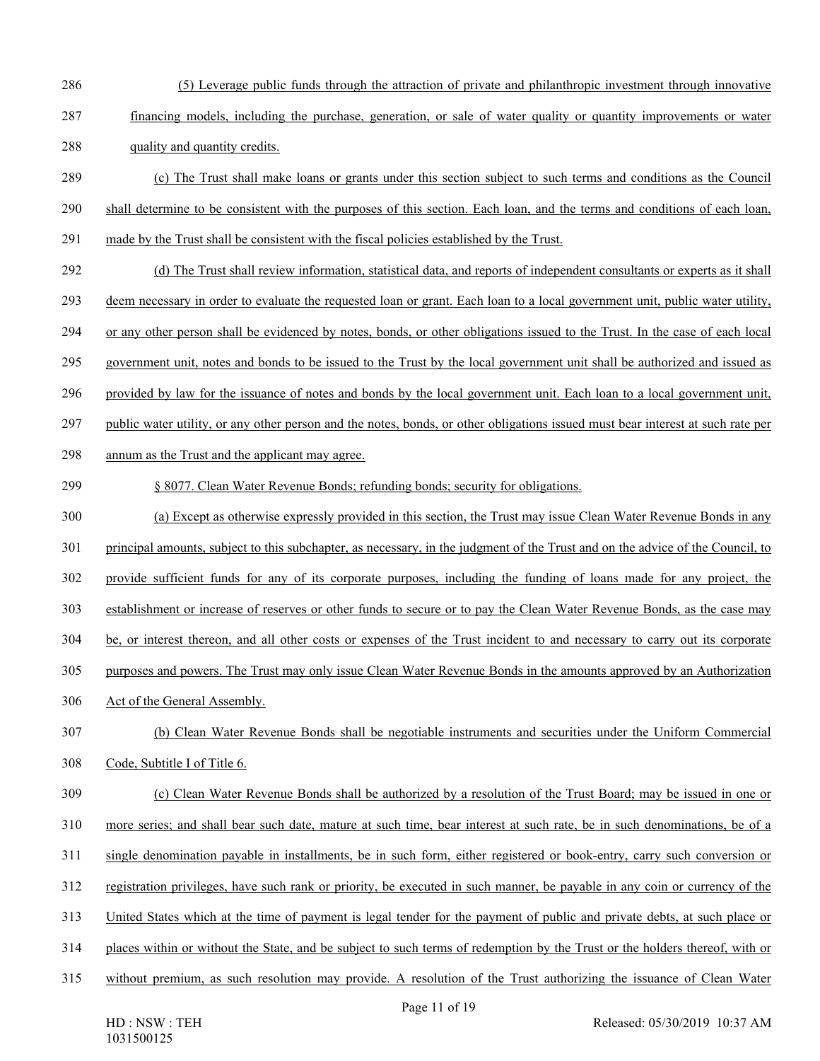- 286 (5) Leverage public funds through the attraction of private and philanthropic investment through innovative
- 287 financing models, including the purchase, generation, or sale of water quality or quantity improvements or water 288 quality and quantity credits.
- 289 (c) The Trust shall make loans or grants under this section subject to such terms and conditions as the Council
- 290 shall determine to be consistent with the purposes of this section. Each loan, and the terms and conditions of each loan,
- 291 made by the Trust shall be consistent with the fiscal policies established by the Trust.
- 292 (d) The Trust shall review information, statistical data, and reports of independent consultants or experts as it shall
- 293 deem necessary in order to evaluate the requested loan or grant. Each loan to a local government unit, public water utility,
- 294 or any other person shall be evidenced by notes, bonds, or other obligations issued to the Trust. In the case of each local
- 295 government unit, notes and bonds to be issued to the Trust by the local government unit shall be authorized and issued as
- 296 provided by law for the issuance of notes and bonds by the local government unit. Each loan to a local government unit,
- 297 public water utility, or any other person and the notes, bonds, or other obligations issued must bear interest at such rate per
- 298 annum as the Trust and the applicant may agree.
- 299 § 8077. Clean Water Revenue Bonds; refunding bonds; security for obligations.
- 300 (a) Except as otherwise expressly provided in this section, the Trust may issue Clean Water Revenue Bonds in any
- 301 principal amounts, subject to this subchapter, as necessary, in the judgment of the Trust and on the advice of the Council, to
- 302 provide sufficient funds for any of its corporate purposes, including the funding of loans made for any project, the
- 303 establishment or increase of reserves or other funds to secure or to pay the Clean Water Revenue Bonds, as the case may
- 304 be, or interest thereon, and all other costs or expenses of the Trust incident to and necessary to carry out its corporate
- 305 purposes and powers. The Trust may only issue Clean Water Revenue Bonds in the amounts approved by an Authorization
- 306 Act of the General Assembly.
- 307 (b) Clean Water Revenue Bonds shall be negotiable instruments and securities under the Uniform Commercial 308 Code, Subtitle I of Title 6.
- 309 (c) Clean Water Revenue Bonds shall be authorized by a resolution of the Trust Board; may be issued in one or 310 more series; and shall bear such date, mature at such time, bear interest at such rate, be in such denominations, be of a
- 311 single denomination payable in installments, be in such form, either registered or book-entry, carry such conversion or
- 312 registration privileges, have such rank or priority, be executed in such manner, be payable in any coin or currency of the
- 313 United States which at the time of payment is legal tender for the payment of public and private debts, at such place or
- 314 places within or without the State, and be subject to such terms of redemption by the Trust or the holders thereof, with or
- 315 without premium, as such resolution may provide. A resolution of the Trust authorizing the issuance of Clean Water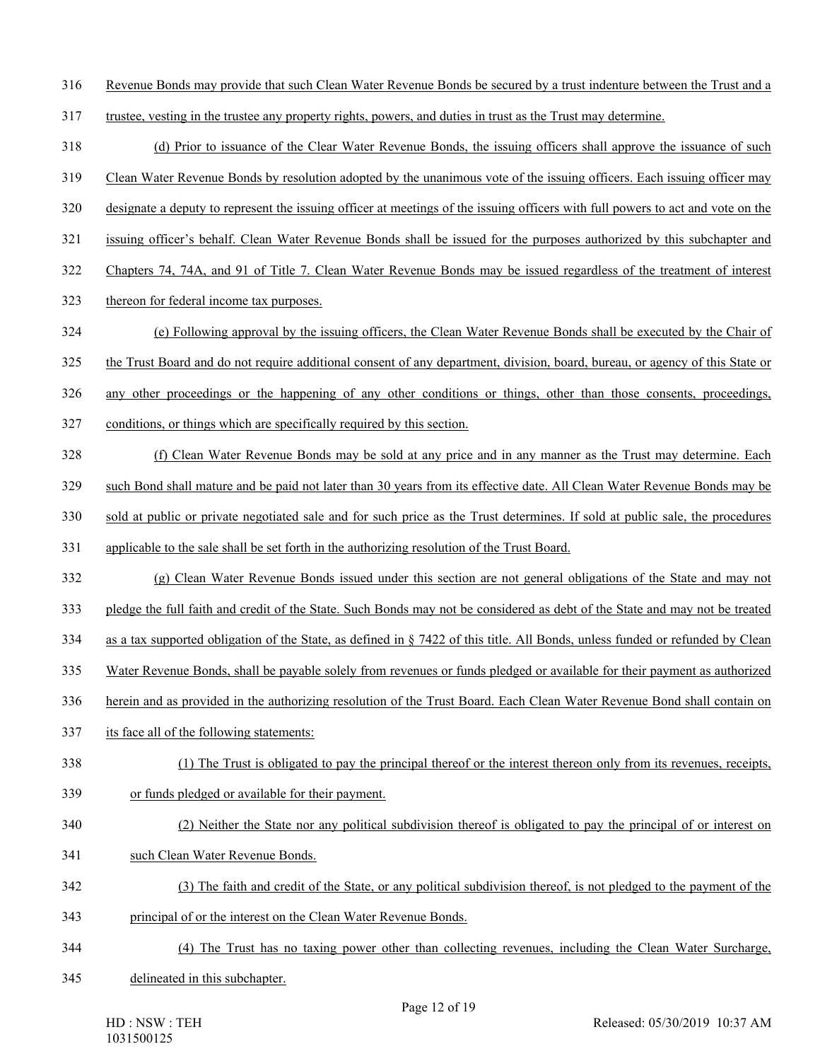316 Revenue Bonds may provide that such Clean Water Revenue Bonds be secured by a trust indenture between the Trust and a

- 317 trustee, vesting in the trustee any property rights, powers, and duties in trust as the Trust may determine.
- 318 (d) Prior to issuance of the Clear Water Revenue Bonds, the issuing officers shall approve the issuance of such
- 319 Clean Water Revenue Bonds by resolution adopted by the unanimous vote of the issuing officers. Each issuing officer may
- 320 designate a deputy to represent the issuing officer at meetings of the issuing officers with full powers to act and vote on the
- 321 issuing officer's behalf. Clean Water Revenue Bonds shall be issued for the purposes authorized by this subchapter and
- 322 Chapters 74, 74A, and 91 of Title 7. Clean Water Revenue Bonds may be issued regardless of the treatment of interest
- 323 thereon for federal income tax purposes.
- 324 (e) Following approval by the issuing officers, the Clean Water Revenue Bonds shall be executed by the Chair of
- 325 the Trust Board and do not require additional consent of any department, division, board, bureau, or agency of this State or
- 326 any other proceedings or the happening of any other conditions or things, other than those consents, proceedings,
- 327 conditions, or things which are specifically required by this section.
- 328 (f) Clean Water Revenue Bonds may be sold at any price and in any manner as the Trust may determine. Each
- 329 such Bond shall mature and be paid not later than 30 years from its effective date. All Clean Water Revenue Bonds may be
- 330 sold at public or private negotiated sale and for such price as the Trust determines. If sold at public sale, the procedures
- 331 applicable to the sale shall be set forth in the authorizing resolution of the Trust Board.
- 332 (g) Clean Water Revenue Bonds issued under this section are not general obligations of the State and may not
- 333 pledge the full faith and credit of the State. Such Bonds may not be considered as debt of the State and may not be treated
- 334 as a tax supported obligation of the State, as defined in § 7422 of this title. All Bonds, unless funded or refunded by Clean
- 335 Water Revenue Bonds, shall be payable solely from revenues or funds pledged or available for their payment as authorized
- 336 herein and as provided in the authorizing resolution of the Trust Board. Each Clean Water Revenue Bond shall contain on
- 337 its face all of the following statements:
- 338 (1) The Trust is obligated to pay the principal thereof or the interest thereon only from its revenues, receipts,
- 339 or funds pledged or available for their payment.

# 340 (2) Neither the State nor any political subdivision thereof is obligated to pay the principal of or interest on

- 341 such Clean Water Revenue Bonds.
- 342 (3) The faith and credit of the State, or any political subdivision thereof, is not pledged to the payment of the 343 principal of or the interest on the Clean Water Revenue Bonds.
- 344 (4) The Trust has no taxing power other than collecting revenues, including the Clean Water Surcharge,
- 345 delineated in this subchapter.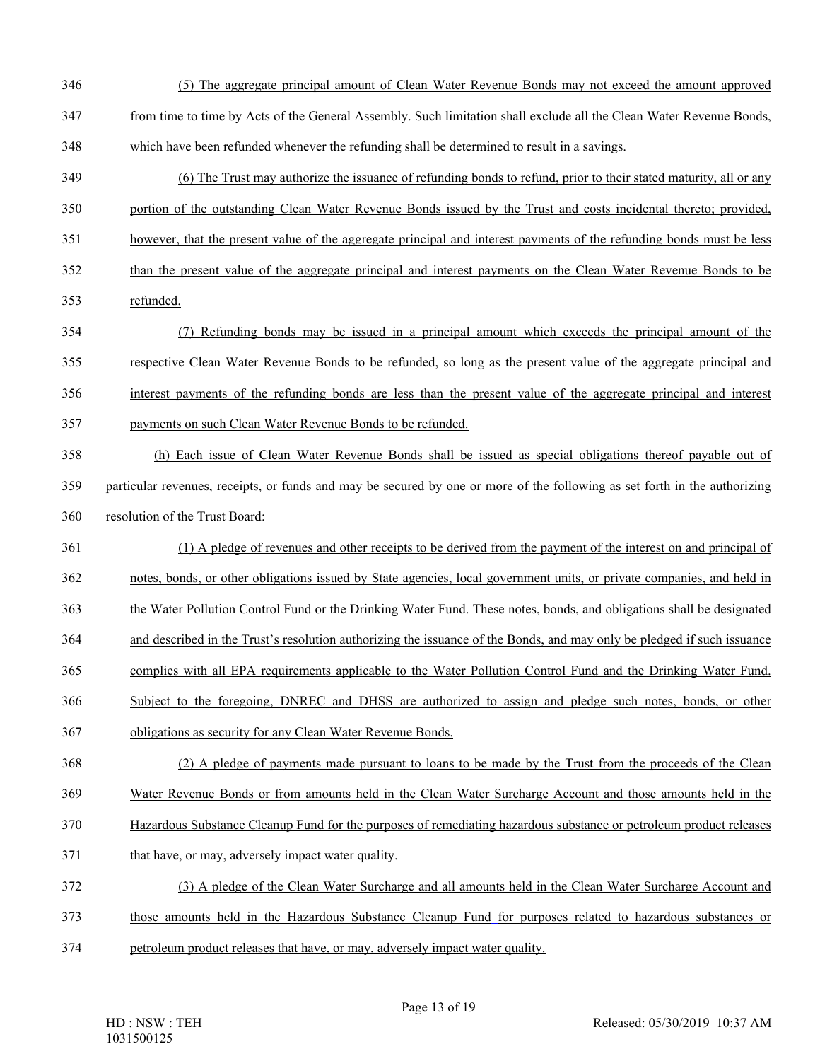- 346 (5) The aggregate principal amount of Clean Water Revenue Bonds may not exceed the amount approved
- 347 from time to time by Acts of the General Assembly. Such limitation shall exclude all the Clean Water Revenue Bonds,
- 348 which have been refunded whenever the refunding shall be determined to result in a savings.
- 349 (6) The Trust may authorize the issuance of refunding bonds to refund, prior to their stated maturity, all or any 350 portion of the outstanding Clean Water Revenue Bonds issued by the Trust and costs incidental thereto; provided,
- 351 however, that the present value of the aggregate principal and interest payments of the refunding bonds must be less
- 352 than the present value of the aggregate principal and interest payments on the Clean Water Revenue Bonds to be
- 353 refunded.
- 354 (7) Refunding bonds may be issued in a principal amount which exceeds the principal amount of the 355 respective Clean Water Revenue Bonds to be refunded, so long as the present value of the aggregate principal and 356 interest payments of the refunding bonds are less than the present value of the aggregate principal and interest
- 357 payments on such Clean Water Revenue Bonds to be refunded.
- 358 (h) Each issue of Clean Water Revenue Bonds shall be issued as special obligations thereof payable out of 359 particular revenues, receipts, or funds and may be secured by one or more of the following as set forth in the authorizing
- 360 resolution of the Trust Board:
- 361 (1) A pledge of revenues and other receipts to be derived from the payment of the interest on and principal of
- 362 notes, bonds, or other obligations issued by State agencies, local government units, or private companies, and held in
- 363 the Water Pollution Control Fund or the Drinking Water Fund. These notes, bonds, and obligations shall be designated
- 364 and described in the Trust's resolution authorizing the issuance of the Bonds, and may only be pledged if such issuance
- 365 complies with all EPA requirements applicable to the Water Pollution Control Fund and the Drinking Water Fund.
- 366 Subject to the foregoing, DNREC and DHSS are authorized to assign and pledge such notes, bonds, or other
- 367 obligations as security for any Clean Water Revenue Bonds.
- 368 (2) A pledge of payments made pursuant to loans to be made by the Trust from the proceeds of the Clean
- 369 Water Revenue Bonds or from amounts held in the Clean Water Surcharge Account and those amounts held in the
- 370 Hazardous Substance Cleanup Fund for the purposes of remediating hazardous substance or petroleum product releases
- 371 that have, or may, adversely impact water quality.
- 372 (3) A pledge of the Clean Water Surcharge and all amounts held in the Clean Water Surcharge Account and
- 373 those amounts held in the Hazardous Substance Cleanup Fund for purposes related to hazardous substances or
- 374 petroleum product releases that have, or may, adversely impact water quality.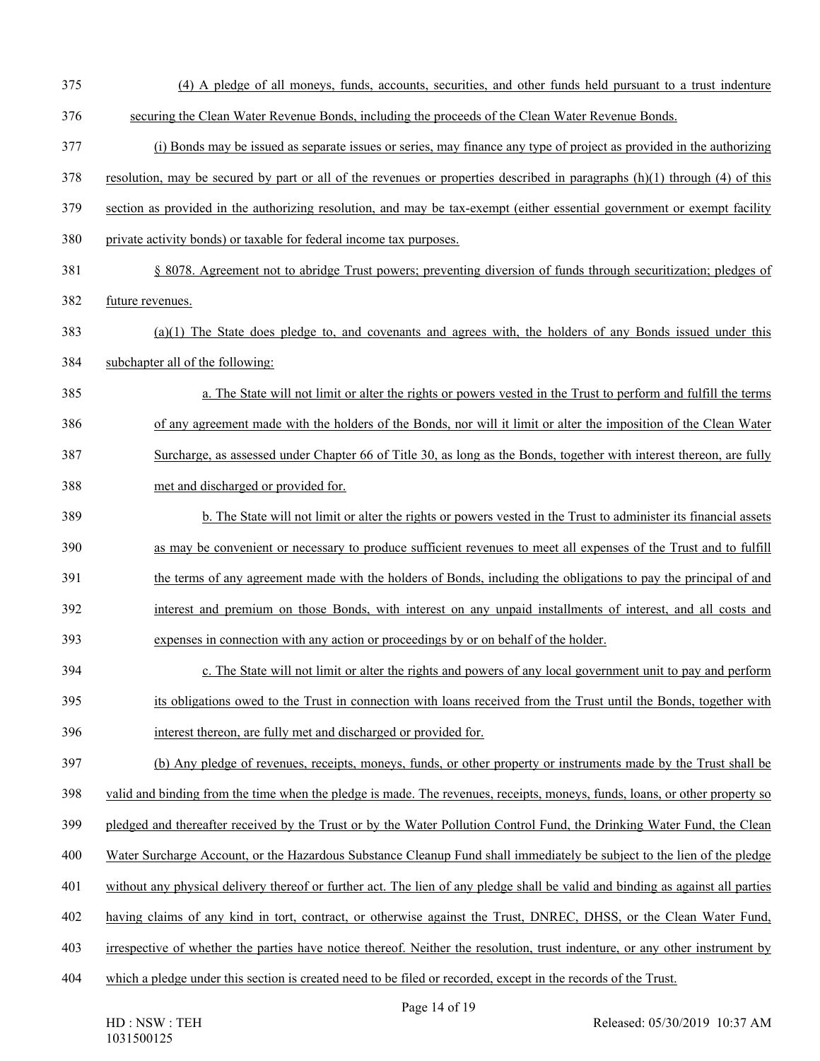| 375 | (4) A pledge of all moneys, funds, accounts, securities, and other funds held pursuant to a trust indenture                    |
|-----|--------------------------------------------------------------------------------------------------------------------------------|
| 376 | securing the Clean Water Revenue Bonds, including the proceeds of the Clean Water Revenue Bonds.                               |
| 377 | (i) Bonds may be issued as separate issues or series, may finance any type of project as provided in the authorizing           |
| 378 | resolution, may be secured by part or all of the revenues or properties described in paragraphs $(h)(1)$ through $(4)$ of this |
| 379 | section as provided in the authorizing resolution, and may be tax-exempt (either essential government or exempt facility       |
| 380 | private activity bonds) or taxable for federal income tax purposes.                                                            |
| 381 | § 8078. Agreement not to abridge Trust powers; preventing diversion of funds through securitization; pledges of                |
| 382 | future revenues.                                                                                                               |
| 383 | $(a)(1)$ The State does pledge to, and covenants and agrees with, the holders of any Bonds issued under this                   |
| 384 | subchapter all of the following:                                                                                               |
| 385 | a. The State will not limit or alter the rights or powers vested in the Trust to perform and fulfill the terms                 |
| 386 | of any agreement made with the holders of the Bonds, nor will it limit or alter the imposition of the Clean Water              |
| 387 | Surcharge, as assessed under Chapter 66 of Title 30, as long as the Bonds, together with interest thereon, are fully           |
| 388 | met and discharged or provided for.                                                                                            |
| 389 | b. The State will not limit or alter the rights or powers vested in the Trust to administer its financial assets               |
| 390 | as may be convenient or necessary to produce sufficient revenues to meet all expenses of the Trust and to fulfill              |
| 391 | the terms of any agreement made with the holders of Bonds, including the obligations to pay the principal of and               |
| 392 | interest and premium on those Bonds, with interest on any unpaid installments of interest, and all costs and                   |
| 393 | expenses in connection with any action or proceedings by or on behalf of the holder.                                           |
| 394 | c. The State will not limit or alter the rights and powers of any local government unit to pay and perform                     |
| 395 | its obligations owed to the Trust in connection with loans received from the Trust until the Bonds, together with              |
| 396 | interest thereon, are fully met and discharged or provided for.                                                                |
| 397 | (b) Any pledge of revenues, receipts, moneys, funds, or other property or instruments made by the Trust shall be               |
| 398 | valid and binding from the time when the pledge is made. The revenues, receipts, moneys, funds, loans, or other property so    |
| 399 | pledged and thereafter received by the Trust or by the Water Pollution Control Fund, the Drinking Water Fund, the Clean        |
| 400 | Water Surcharge Account, or the Hazardous Substance Cleanup Fund shall immediately be subject to the lien of the pledge        |
| 401 | without any physical delivery thereof or further act. The lien of any pledge shall be valid and binding as against all parties |
| 402 | having claims of any kind in tort, contract, or otherwise against the Trust, DNREC, DHSS, or the Clean Water Fund,             |
| 403 | irrespective of whether the parties have notice thereof. Neither the resolution, trust indenture, or any other instrument by   |
| 404 | which a pledge under this section is created need to be filed or recorded, except in the records of the Trust.                 |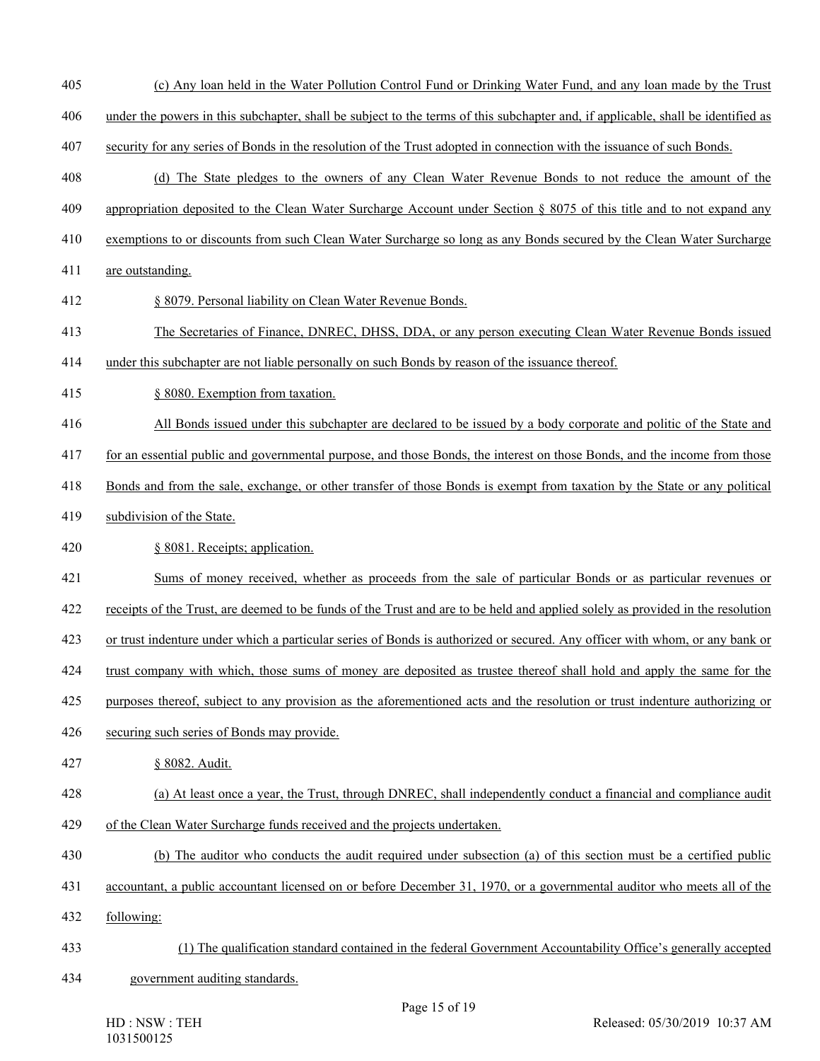- 405 (c) Any loan held in the Water Pollution Control Fund or Drinking Water Fund, and any loan made by the Trust
- 406 under the powers in this subchapter, shall be subject to the terms of this subchapter and, if applicable, shall be identified as
- 407 security for any series of Bonds in the resolution of the Trust adopted in connection with the issuance of such Bonds.
- 408 (d) The State pledges to the owners of any Clean Water Revenue Bonds to not reduce the amount of the
- 409 appropriation deposited to the Clean Water Surcharge Account under Section § 8075 of this title and to not expand any
- 410 exemptions to or discounts from such Clean Water Surcharge so long as any Bonds secured by the Clean Water Surcharge
- 411 are outstanding.
- 412 § 8079. Personal liability on Clean Water Revenue Bonds.
- 413 The Secretaries of Finance, DNREC, DHSS, DDA, or any person executing Clean Water Revenue Bonds issued
- 414 under this subchapter are not liable personally on such Bonds by reason of the issuance thereof.
- 415 § 8080. Exemption from taxation.
- 416 All Bonds issued under this subchapter are declared to be issued by a body corporate and politic of the State and
- 417 for an essential public and governmental purpose, and those Bonds, the interest on those Bonds, and the income from those
- 418 Bonds and from the sale, exchange, or other transfer of those Bonds is exempt from taxation by the State or any political
- 419 subdivision of the State.
- 420 § 8081. Receipts; application.
- 421 Sums of money received, whether as proceeds from the sale of particular Bonds or as particular revenues or
- 422 receipts of the Trust, are deemed to be funds of the Trust and are to be held and applied solely as provided in the resolution
- 423 or trust indenture under which a particular series of Bonds is authorized or secured. Any officer with whom, or any bank or
- 424 trust company with which, those sums of money are deposited as trustee thereof shall hold and apply the same for the
- 425 purposes thereof, subject to any provision as the aforementioned acts and the resolution or trust indenture authorizing or
- 426 securing such series of Bonds may provide.
- 427 § 8082. Audit.
- 428 (a) At least once a year, the Trust, through DNREC, shall independently conduct a financial and compliance audit
- 429 of the Clean Water Surcharge funds received and the projects undertaken.
- 430 (b) The auditor who conducts the audit required under subsection (a) of this section must be a certified public
- 431 accountant, a public accountant licensed on or before December 31, 1970, or a governmental auditor who meets all of the
- 432 following:
- 433 (1) The qualification standard contained in the federal Government Accountability Office's generally accepted
- 434 government auditing standards.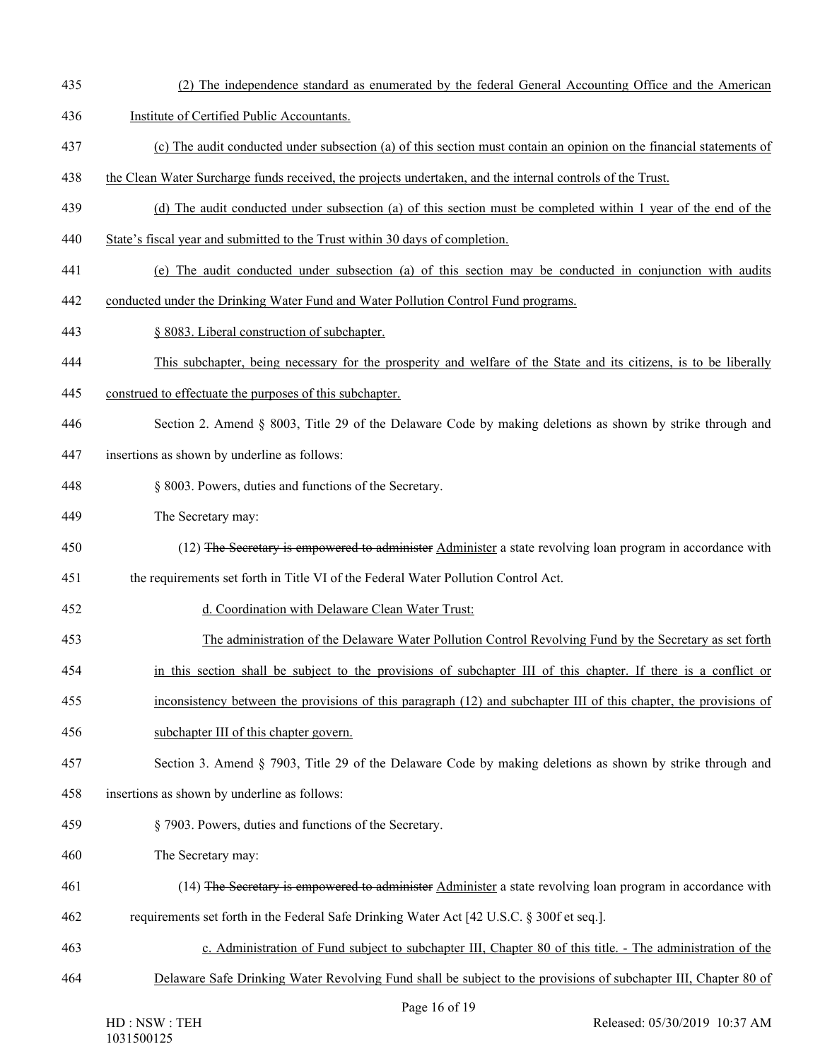- 435 (2) The independence standard as enumerated by the federal General Accounting Office and the American
- 436 Institute of Certified Public Accountants.
- 437 (c) The audit conducted under subsection (a) of this section must contain an opinion on the financial statements of
- 438 the Clean Water Surcharge funds received, the projects undertaken, and the internal controls of the Trust.
- 439 (d) The audit conducted under subsection (a) of this section must be completed within 1 year of the end of the
- 440 State's fiscal year and submitted to the Trust within 30 days of completion.
- 441 (e) The audit conducted under subsection (a) of this section may be conducted in conjunction with audits
- 442 conducted under the Drinking Water Fund and Water Pollution Control Fund programs.
- 443 § 8083. Liberal construction of subchapter.
- 444 This subchapter, being necessary for the prosperity and welfare of the State and its citizens, is to be liberally
- 445 construed to effectuate the purposes of this subchapter.
- 446 Section 2. Amend § 8003, Title 29 of the Delaware Code by making deletions as shown by strike through and
- 447 insertions as shown by underline as follows:
- 448 § 8003. Powers, duties and functions of the Secretary.
- 449 The Secretary may:
- 450 (12) The Secretary is empowered to administer Administer a state revolving loan program in accordance with
- 451 the requirements set forth in Title VI of the Federal Water Pollution Control Act.
- 452 d. Coordination with Delaware Clean Water Trust:
- 453 The administration of the Delaware Water Pollution Control Revolving Fund by the Secretary as set forth
- 454 in this section shall be subject to the provisions of subchapter III of this chapter. If there is a conflict or
- 455 inconsistency between the provisions of this paragraph (12) and subchapter III of this chapter, the provisions of
- 456 subchapter III of this chapter govern.
- 457 Section 3. Amend § 7903, Title 29 of the Delaware Code by making deletions as shown by strike through and
- 458 insertions as shown by underline as follows:
- 459 § 7903. Powers, duties and functions of the Secretary.
- 460 The Secretary may:
- 461 (14) The Secretary is empowered to administer Administer a state revolving loan program in accordance with 462 requirements set forth in the Federal Safe Drinking Water Act [42 U.S.C. § 300f et seq.].
- 463 c. Administration of Fund subject to subchapter III, Chapter 80 of this title. The administration of the
- 464 Delaware Safe Drinking Water Revolving Fund shall be subject to the provisions of subchapter III, Chapter 80 of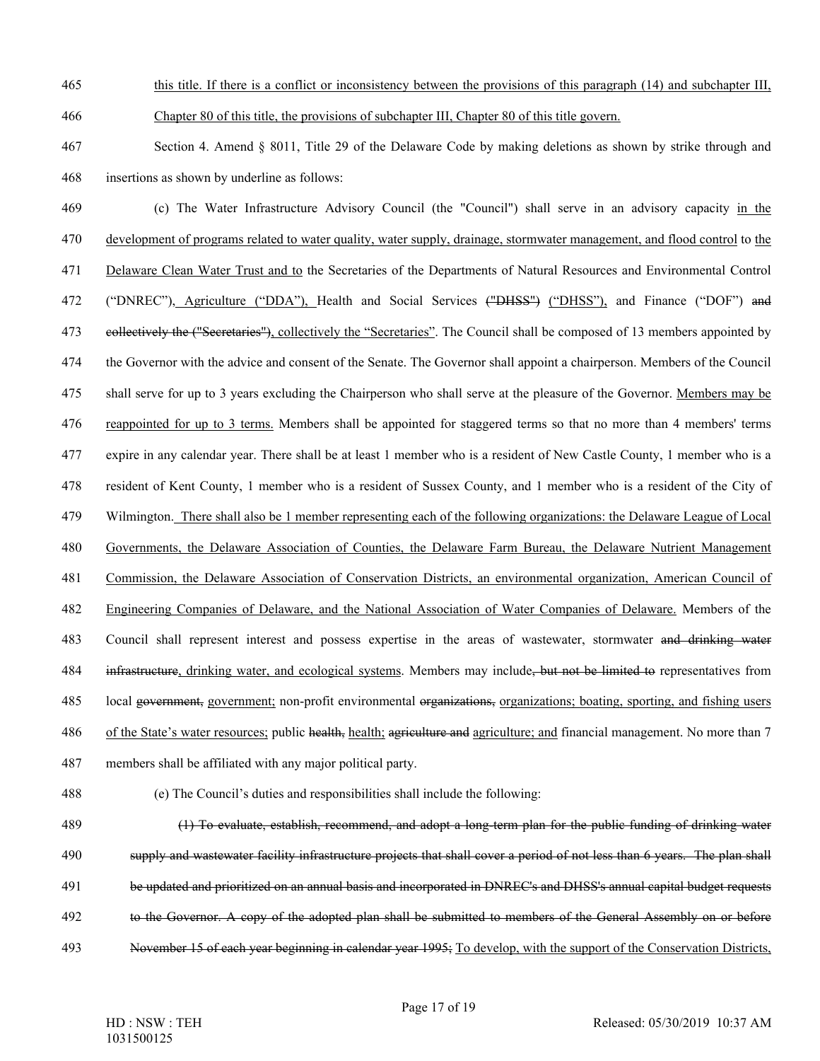465 this title. If there is a conflict or inconsistency between the provisions of this paragraph (14) and subchapter III,

466 Chapter 80 of this title, the provisions of subchapter III, Chapter 80 of this title govern.

467 Section 4. Amend § 8011, Title 29 of the Delaware Code by making deletions as shown by strike through and 468 insertions as shown by underline as follows:

469 (c) The Water Infrastructure Advisory Council (the "Council") shall serve in an advisory capacity in the 470 development of programs related to water quality, water supply, drainage, stormwater management, and flood control to the 471 Delaware Clean Water Trust and to the Secretaries of the Departments of Natural Resources and Environmental Control 472 ("DNREC"), Agriculture ("DDA"), Health and Social Services ("DHSS") ("DHSS"), and Finance ("DOF") and 473 eellectively the ("Secretaries"), collectively the "Secretaries". The Council shall be composed of 13 members appointed by 474 the Governor with the advice and consent of the Senate. The Governor shall appoint a chairperson. Members of the Council 475 shall serve for up to 3 years excluding the Chairperson who shall serve at the pleasure of the Governor. Members may be 476 reappointed for up to 3 terms. Members shall be appointed for staggered terms so that no more than 4 members' terms 477 expire in any calendar year. There shall be at least 1 member who is a resident of New Castle County, 1 member who is a 478 resident of Kent County, 1 member who is a resident of Sussex County, and 1 member who is a resident of the City of 479 Wilmington. There shall also be 1 member representing each of the following organizations: the Delaware League of Local 480 Governments, the Delaware Association of Counties, the Delaware Farm Bureau, the Delaware Nutrient Management 481 Commission, the Delaware Association of Conservation Districts, an environmental organization, American Council of 482 Engineering Companies of Delaware, and the National Association of Water Companies of Delaware. Members of the 483 Council shall represent interest and possess expertise in the areas of wastewater, stormwater and drinking water 484 infrastructure, drinking water, and ecological systems. Members may include, but not be limited to representatives from 485 local government, government; non-profit environmental organizations, organizations; boating, sporting, and fishing users 486 of the State's water resources; public health, health; agriculture and agriculture; and financial management. No more than 7 487 members shall be affiliated with any major political party.

488 (e) The Council's duties and responsibilities shall include the following:

489 (1) To evaluate, establish, recommend, and adopt a long-term plan for the public funding of drinking water 490 supply and wastewater facility infrastructure projects that shall cover a period of not less than 6 years. The plan shall 491 be updated and prioritized on an annual basis and incorporated in DNREC's and DHSS's annual capital budget requests 492 to the Governor. A copy of the adopted plan shall be submitted to members of the General Assembly on or before 493 November 15 of each year beginning in calendar year 1995; To develop, with the support of the Conservation Districts,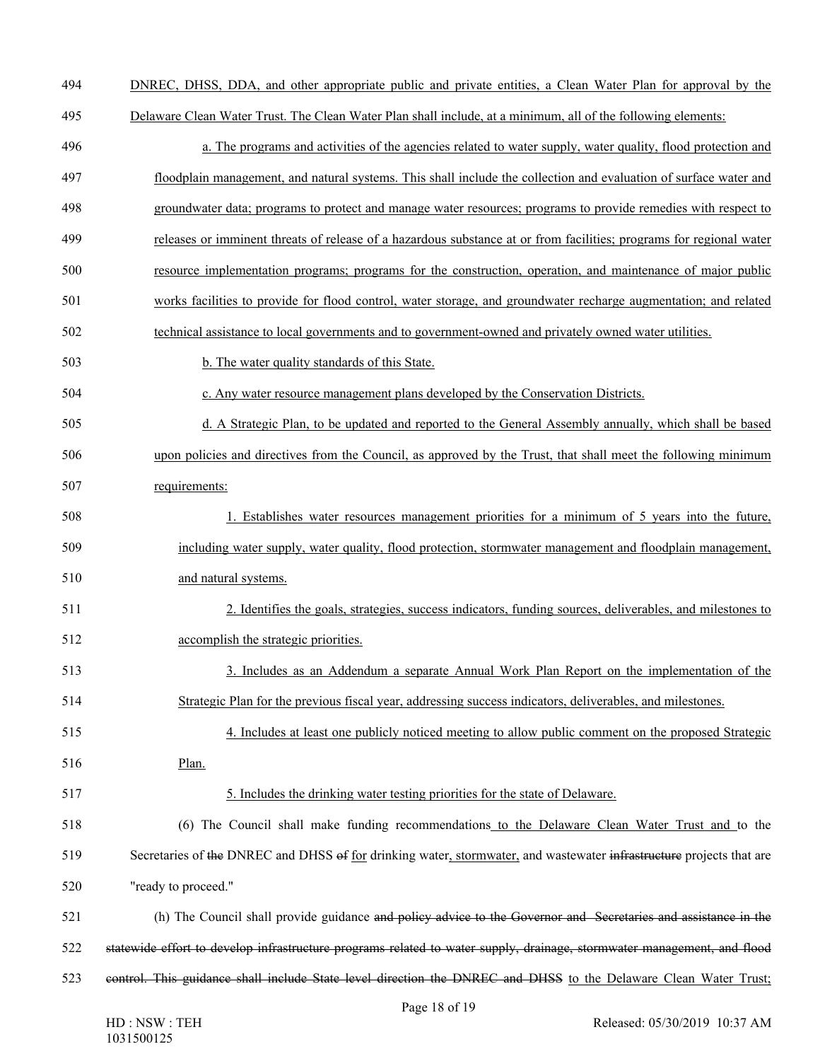- 494 DNREC, DHSS, DDA, and other appropriate public and private entities, a Clean Water Plan for approval by the
- 495 Delaware Clean Water Trust. The Clean Water Plan shall include, at a minimum, all of the following elements:
- 496 a. The programs and activities of the agencies related to water supply, water quality, flood protection and 497 floodplain management, and natural systems. This shall include the collection and evaluation of surface water and
- 498 groundwater data; programs to protect and manage water resources; programs to provide remedies with respect to
- 499 releases or imminent threats of release of a hazardous substance at or from facilities; programs for regional water
- 500 resource implementation programs; programs for the construction, operation, and maintenance of major public
- 501 works facilities to provide for flood control, water storage, and groundwater recharge augmentation; and related
- 502 technical assistance to local governments and to government-owned and privately owned water utilities.
- 503 b. The water quality standards of this State.
- 504 c. Any water resource management plans developed by the Conservation Districts.
- 505 d. A Strategic Plan, to be updated and reported to the General Assembly annually, which shall be based
- 506 upon policies and directives from the Council, as approved by the Trust, that shall meet the following minimum
- 507 requirements:
- 508 1. Establishes water resources management priorities for a minimum of 5 years into the future, 509 including water supply, water quality, flood protection, stormwater management and floodplain management, 510 and natural systems.
- 511 2. Identifies the goals, strategies, success indicators, funding sources, deliverables, and milestones to 512 accomplish the strategic priorities.
- 513 3. Includes as an Addendum a separate Annual Work Plan Report on the implementation of the 514 Strategic Plan for the previous fiscal year, addressing success indicators, deliverables, and milestones.
- 
- 515 4. Includes at least one publicly noticed meeting to allow public comment on the proposed Strategic 516 Plan.
- 517 5. Includes the drinking water testing priorities for the state of Delaware.
- 518 (6) The Council shall make funding recommendations to the Delaware Clean Water Trust and to the 519 Secretaries of the DNREC and DHSS of for drinking water, stormwater, and wastewater infrastructure projects that are 520 "ready to proceed."
- 521 (h) The Council shall provide guidance and policy advice to the Governor and Secretaries and assistance in the 522 statewide effort to develop infrastructure programs related to water supply, drainage, stormwater management, and flood 523 control. This guidance shall include State level direction the DNREC and DHSS to the Delaware Clean Water Trust;